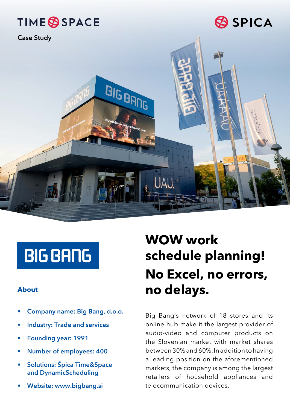

# **BIG BANG**

- Company name: Big Bang, d.o.o.
- Industry: Trade and services
- Founding year: 1991
- Number of employees: 400
- Solutions: Špica Time&Space and DynamicScheduling
- Website: www.bigbang.si

## **WOW work schedule planning! No Excel, no errors, About no delays.**

Big Bang's network of 18 stores and its online hub make it the largest provider of audio-video and computer products on the Slovenian market with market shares between 30% and 60%. In addition to having a leading position on the aforementioned markets, the company is among the largest retailers of household appliances and telecommunication devices.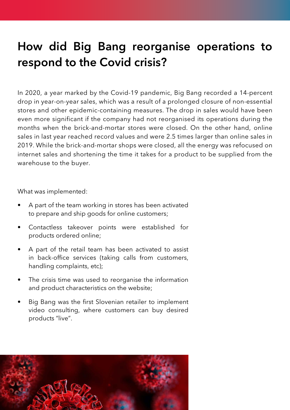### How did Big Bang reorganise operations to respond to the Covid crisis?

In 2020, a year marked by the Covid-19 pandemic, Big Bang recorded a 14-percent drop in year-on-year sales, which was a result of a prolonged closure of non-essential stores and other epidemic-containing measures. The drop in sales would have been even more significant if the company had not reorganised its operations during the months when the brick-and-mortar stores were closed. On the other hand, online sales in last year reached record values and were 2.5 times larger than online sales in 2019. While the brick-and-mortar shops were closed, all the energy was refocused on internet sales and shortening the time it takes for a product to be supplied from the warehouse to the buyer.

What was implemented:

- A part of the team working in stores has been activated to prepare and ship goods for online customers;
- Contactless takeover points were established for products ordered online;
- A part of the retail team has been activated to assist in back-office services (taking calls from customers, handling complaints, etc);
- The crisis time was used to reorganise the information and product characteristics on the website;
- Big Bang was the first Slovenian retailer to implement video consulting, where customers can buy desired products "live".

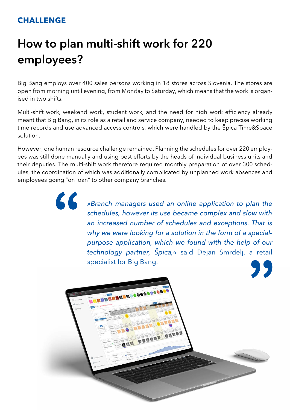### **CHALLENGE**

66

### How to plan multi-shift work for 220 employees?

Big Bang employs over 400 sales persons working in 18 stores across Slovenia. The stores are open from morning until evening, from Monday to Saturday, which means that the work is organised in two shifts.

Multi-shift work, weekend work, student work, and the need for high work efficiency already meant that Big Bang, in its role as a retail and service company, needed to keep precise working time records and use advanced access controls, which were handled by the Špica Time&Space solution.

However, one human resource challenge remained. Planning the schedules for over 220 employees was still done manually and using best efforts by the heads of individual business units and their deputies. The multi-shift work therefore required monthly preparation of over 300 schedules, the coordination of which was additionally complicated by unplanned work absences and employees going "on loan" to other company branches.

> *»Branch managers used an online application to plan the schedules, however its use became complex and slow with an increased number of schedules and exceptions. That is why we were looking for a solution in the form of a specialpurpose application, which we found with the help of our technology partner, Špica,«* said Dejan Smrdelj, a retail specialist for Big Bang.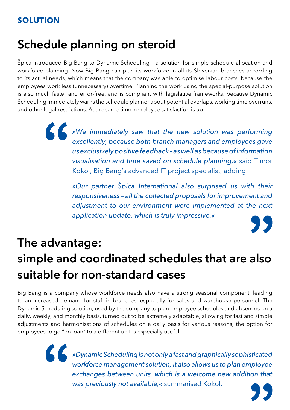### Schedule planning on steroid

Špica introduced Big Bang to Dynamic Scheduling – a solution for simple schedule allocation and workforce planning. Now Big Bang can plan its workforce in all its Slovenian branches according to its actual needs, which means that the company was able to optimise labour costs, because the employees work less (unnecessary) overtime. Planning the work using the special-purpose solution is also much faster and error-free, and is compliant with legislative frameworks, because Dynamic Scheduling immediately warns the schedule planner about potential overlaps, working time overruns, and other legal restrictions. At the same time, employee satisfaction is up.

> *»We immediately saw that the new solution was performing excellently, because both branch managers and employees gave us exclusively positive feedback – as well as because of information visualisation and time saved on schedule planning,«* said Timor Kokol, Big Bang's advanced IT project specialist, adding:

> > *»Our partner Špica International also surprised us with their responsiveness – all the collected proposals for improvement and adjustment to our environment were implemented at the next application update, which is truly impressive.«*

### The advantage: simple and coordinated schedules that are also suitable for non-standard cases

Big Bang is a company whose workforce needs also have a strong seasonal component, leading to an increased demand for staff in branches, especially for sales and warehouse personnel. The Dynamic Scheduling solution, used by the company to plan employee schedules and absences on a daily, weekly, and monthly basis, turned out to be extremely adaptable, allowing for fast and simple adjustments and harmonisations of schedules on a daily basis for various reasons; the option for employees to go "on loan" to a different unit is especially useful.

> *»Dynamic Scheduling is not only a fast and graphically sophisticated workforce management solution; it also allows us to plan employee exchanges between units, which is a welcome new addition that was previously not available,«* summarised Kokol.